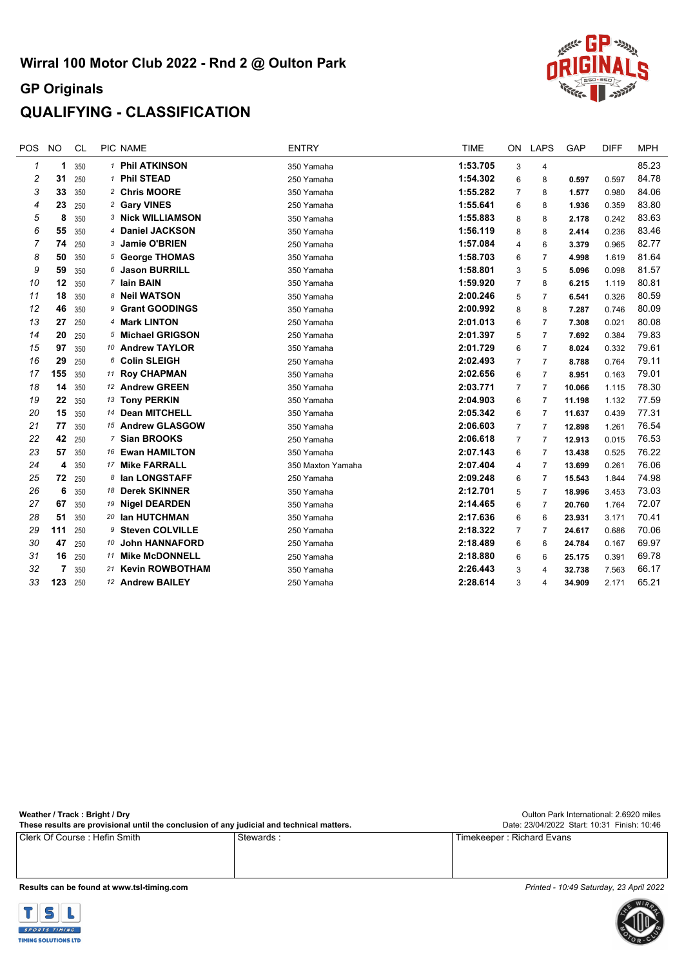## **QUALIFYING - CLASSIFICATION**

| <b>POS</b> | <b>NO</b> | <b>CL</b> |    | PIC NAME                 | <b>ENTRY</b>      | <b>TIME</b> | <b>ON</b>      | <b>LAPS</b>    | <b>GAP</b> | <b>DIFF</b> | <b>MPH</b> |
|------------|-----------|-----------|----|--------------------------|-------------------|-------------|----------------|----------------|------------|-------------|------------|
| 1          | 1         | 350       |    | 1 Phil ATKINSON          | 350 Yamaha        | 1:53.705    | 3              | 4              |            |             | 85.23      |
| 2          | 31        | 250       |    | 1 Phil STEAD             | 250 Yamaha        | 1:54.302    | 6              | 8              | 0.597      | 0.597       | 84.78      |
| 3          | 33        | 350       |    | 2 Chris MOORE            | 350 Yamaha        | 1:55.282    | 7              | 8              | 1.577      | 0.980       | 84.06      |
| 4          | 23        | 250       |    | 2 Gary VINES             | 250 Yamaha        | 1:55.641    | 6              | 8              | 1.936      | 0.359       | 83.80      |
| 5          | 8         | 350       |    | <b>3 Nick WILLIAMSON</b> | 350 Yamaha        | 1:55.883    | 8              | 8              | 2.178      | 0.242       | 83.63      |
| 6          | 55        | 350       |    | 4 Daniel JACKSON         | 350 Yamaha        | 1:56.119    | 8              | 8              | 2.414      | 0.236       | 83.46      |
| 7          | 74        | 250       |    | 3 Jamie O'BRIEN          | 250 Yamaha        | 1:57.084    | 4              | 6              | 3.379      | 0.965       | 82.77      |
| 8          | 50        | 350       |    | 5 George THOMAS          | 350 Yamaha        | 1:58.703    | 6              | 7              | 4.998      | 1.619       | 81.64      |
| 9          | 59        | 350       |    | 6 Jason BURRILL          | 350 Yamaha        | 1:58.801    | 3              | 5              | 5.096      | 0.098       | 81.57      |
| 10         | 12        | 350       |    | 7 Iain BAIN              | 350 Yamaha        | 1:59.920    | 7              | 8              | 6.215      | 1.119       | 80.81      |
| 11         | 18        | 350       |    | 8 Neil WATSON            | 350 Yamaha        | 2:00.246    | 5              | $\overline{7}$ | 6.541      | 0.326       | 80.59      |
| 12         | 46        | 350       |    | 9 Grant GOODINGS         | 350 Yamaha        | 2:00.992    | 8              | 8              | 7.287      | 0.746       | 80.09      |
| 13         | 27        | 250       |    | 4 Mark LINTON            | 250 Yamaha        | 2:01.013    | 6              | 7              | 7.308      | 0.021       | 80.08      |
| 14         | 20        | 250       |    | 5 Michael GRIGSON        | 250 Yamaha        | 2:01.397    | 5              | 7              | 7.692      | 0.384       | 79.83      |
| 15         | 97        | 350       |    | 10 Andrew TAYLOR         | 350 Yamaha        | 2:01.729    | 6              | $\overline{7}$ | 8.024      | 0.332       | 79.61      |
| 16         | 29        | 250       |    | 6 Colin SLEIGH           | 250 Yamaha        | 2:02.493    | $\overline{7}$ | $\overline{7}$ | 8.788      | 0.764       | 79.11      |
| 17         | 155       | 350       |    | 11 Roy CHAPMAN           | 350 Yamaha        | 2:02.656    | 6              | 7              | 8.951      | 0.163       | 79.01      |
| 18         | 14        | 350       |    | 12 Andrew GREEN          | 350 Yamaha        | 2:03.771    | 7              | 7              | 10.066     | 1.115       | 78.30      |
| 19         | 22        | 350       |    | 13 Tony PERKIN           | 350 Yamaha        | 2:04.903    | 6              | $\overline{7}$ | 11.198     | 1.132       | 77.59      |
| 20         | 15        | 350       |    | 14 Dean MITCHELL         | 350 Yamaha        | 2:05.342    | 6              | $\overline{7}$ | 11.637     | 0.439       | 77.31      |
| 21         | 77        | 350       |    | 15 Andrew GLASGOW        | 350 Yamaha        | 2:06.603    | 7              | 7              | 12.898     | 1.261       | 76.54      |
| 22         | 42        | 250       |    | 7 Sian BROOKS            | 250 Yamaha        | 2:06.618    | $\overline{7}$ | 7              | 12.913     | 0.015       | 76.53      |
| 23         | 57        | 350       |    | 16 Ewan HAMILTON         | 350 Yamaha        | 2:07.143    | 6              | 7              | 13.438     | 0.525       | 76.22      |
| 24         | 4         | 350       |    | 17 Mike FARRALL          | 350 Maxton Yamaha | 2:07.404    | 4              | 7              | 13.699     | 0.261       | 76.06      |
| 25         | 72        | 250       |    | 8 Ian LONGSTAFF          | 250 Yamaha        | 2:09.248    | 6              | $\overline{7}$ | 15.543     | 1.844       | 74.98      |
| 26         | 6         | 350       |    | 18 Derek SKINNER         | 350 Yamaha        | 2:12.701    | 5              | 7              | 18.996     | 3.453       | 73.03      |
| 27         | 67        | 350       | 19 | <b>Nigel DEARDEN</b>     | 350 Yamaha        | 2:14.465    | 6              | $\overline{7}$ | 20.760     | 1.764       | 72.07      |
| 28         | 51        | 350       |    | 20 Ian HUTCHMAN          | 350 Yamaha        | 2:17.636    | 6              | 6              | 23.931     | 3.171       | 70.41      |
| 29         | 111       | 250       |    | 9 Steven COLVILLE        | 250 Yamaha        | 2:18.322    | 7              | 7              | 24.617     | 0.686       | 70.06      |
| 30         | 47        | 250       | 10 | <b>John HANNAFORD</b>    | 250 Yamaha        | 2:18.489    | 6              | 6              | 24.784     | 0.167       | 69.97      |
| 31         | 16        | 250       | 11 | <b>Mike McDONNELL</b>    | 250 Yamaha        | 2:18.880    | 6              | 6              | 25.175     | 0.391       | 69.78      |
| 32         | 7         | 350       |    | 21 Kevin ROWBOTHAM       | 350 Yamaha        | 2:26.443    | 3              | 4              | 32.738     | 7.563       | 66.17      |
| 33         | 123       | 250       |    | 12 Andrew BAILEY         | 250 Yamaha        | 2:28.614    | 3              | 4              | 34.909     | 2.171       | 65.21      |

| Weather / Track: Bright / Dry<br>These results are provisional until the conclusion of any judicial and technical matters. |           | Oulton Park International: 2.6920 miles<br>Date: 23/04/2022 Start: 10:31 Finish: 10:46 |
|----------------------------------------------------------------------------------------------------------------------------|-----------|----------------------------------------------------------------------------------------|
| Clerk Of Course: Hefin Smith                                                                                               | Stewards: | Timekeeper: Richard Evans                                                              |

**[Results can be found at www.tsl-timing.com](http://www.tsl-timing.com)** *[Printed - 10:49 Saturday, 23 April 2022](http://www.tsl-timing.com)*



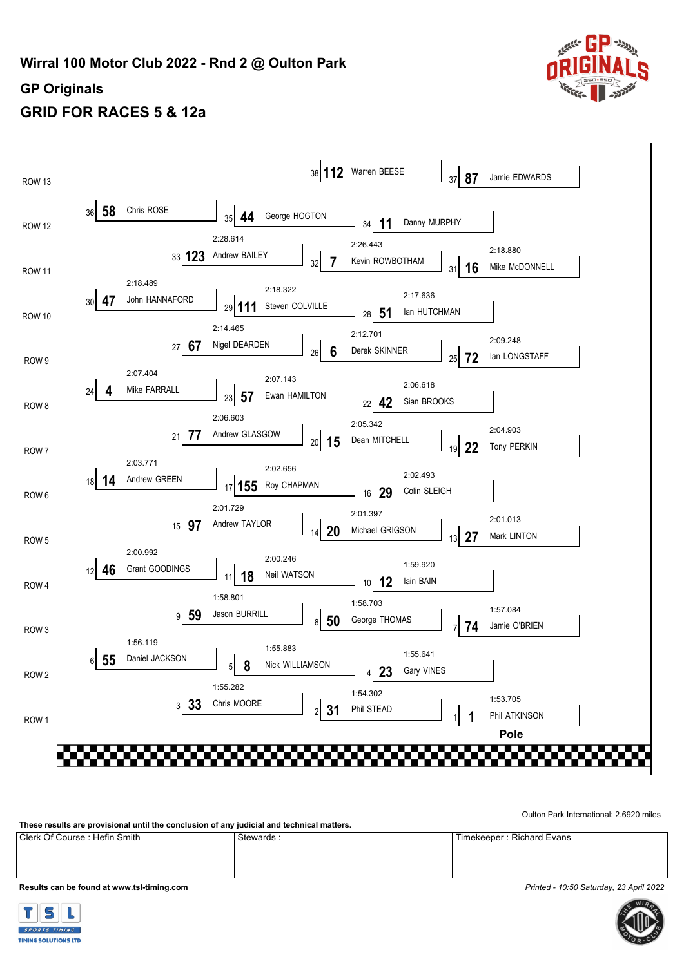

# **GRID FOR RACES 5 & 12a**



[Oulton Park International: 2.6920 miles](http://www.tsl-timing.com)

**[These results are provisional until the conclusion of any judicial and technical matters.](http://www.tsl-timing.com)**

[Clerk Of Course : Hefin Smith](http://www.tsl-timing.com) [Stewards : Timekeeper : Richard Evans](http://www.tsl-timing.com)

**[Results can be found at www.tsl-timing.com](http://www.tsl-timing.com)** *[Printed - 10:50 Saturday, 23 April 2022](http://www.tsl-timing.com)*



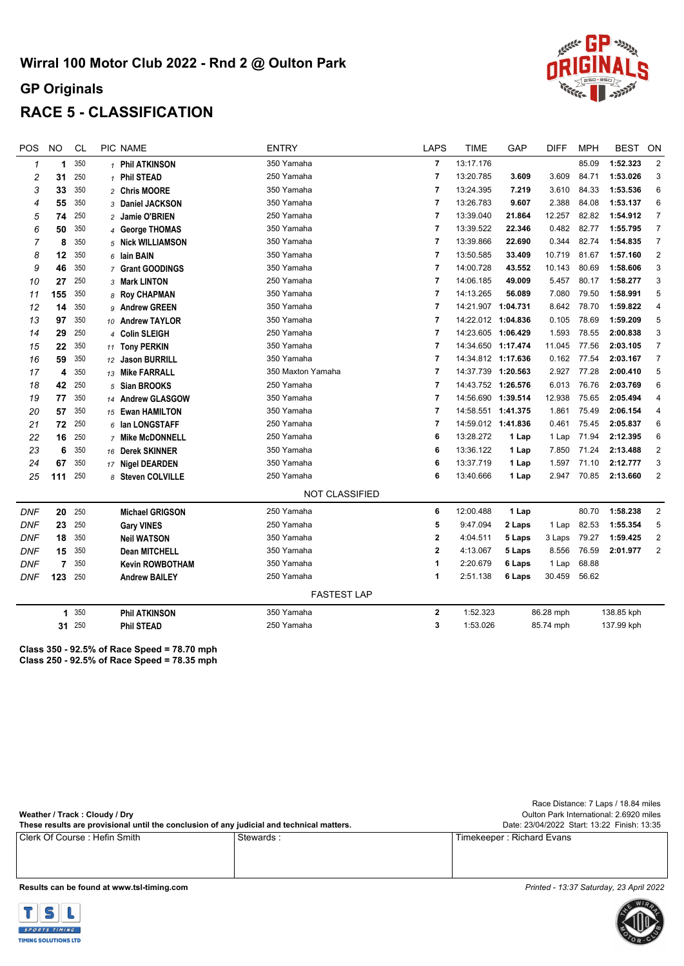

## **RACE 5 - CLASSIFICATION**

| POS        | <b>NO</b> | <b>CL</b> | PIC NAME               | <b>ENTRY</b> |                       | <b>LAPS</b>             | <b>TIME</b>        | GAP    | <b>DIFF</b> | <b>MPH</b> | <b>BEST</b> | ON             |
|------------|-----------|-----------|------------------------|--------------|-----------------------|-------------------------|--------------------|--------|-------------|------------|-------------|----------------|
| 1          | 1         | 350       | 1 Phil ATKINSON        |              | 350 Yamaha            | $\overline{7}$          | 13:17.176          |        |             | 85.09      | 1:52.323    | $\overline{2}$ |
| 2          | 31        | 250       | 1 Phil STEAD           |              | 250 Yamaha            | $\overline{7}$          | 13:20.785          | 3.609  | 3.609       | 84.71      | 1:53.026    | 3              |
| 3          | 33        | 350       | 2 Chris MOORE          |              | 350 Yamaha            | $\overline{7}$          | 13:24.395          | 7.219  | 3.610       | 84.33      | 1:53.536    | 6              |
| 4          | 55        | 350       | 3 Daniel JACKSON       |              | 350 Yamaha            | $\overline{7}$          | 13:26.783          | 9.607  | 2.388       | 84.08      | 1:53.137    | 6              |
| 5          | 74        | 250       | 2 Jamie O'BRIEN        |              | 250 Yamaha            | 7                       | 13:39.040          | 21.864 | 12.257      | 82.82      | 1:54.912    | $\overline{7}$ |
| 6          | 50        | 350       | 4 George THOMAS        |              | 350 Yamaha            | $\overline{\mathbf{r}}$ | 13:39.522          | 22.346 | 0.482       | 82.77      | 1:55.795    | $\overline{7}$ |
| 7          | 8         | 350       | 5 Nick WILLIAMSON      |              | 350 Yamaha            | $\overline{7}$          | 13:39.866          | 22.690 | 0.344       | 82.74      | 1:54.835    | $\overline{7}$ |
| 8          | 12        | 350       | $6$ lain BAIN          |              | 350 Yamaha            | $\overline{7}$          | 13:50.585          | 33.409 | 10.719      | 81.67      | 1:57.160    | $\overline{2}$ |
| 9          | 46        | 350       | 7 Grant GOODINGS       |              | 350 Yamaha            | $\overline{7}$          | 14:00.728          | 43.552 | 10.143      | 80.69      | 1:58.606    | 3              |
| 10         | 27        | 250       | 3 Mark LINTON          |              | 250 Yamaha            | $\overline{7}$          | 14:06.185          | 49.009 | 5.457       | 80.17      | 1:58.277    | 3              |
| 11         | 155       | 350       | 8 Roy CHAPMAN          |              | 350 Yamaha            | $\overline{7}$          | 14:13.265          | 56.089 | 7.080       | 79.50      | 1:58.991    | 5              |
| 12         | 14        | 350       | 9 Andrew GREEN         |              | 350 Yamaha            | $\overline{7}$          | 14:21.907 1:04.731 |        | 8.642       | 78.70      | 1:59.822    | 4              |
| 13         | 97        | 350       | 10 Andrew TAYLOR       |              | 350 Yamaha            | $\overline{7}$          | 14:22.012 1:04.836 |        | 0.105       | 78.69      | 1:59.209    | 5              |
| 14         | 29        | 250       | 4 Colin SLEIGH         |              | 250 Yamaha            | $\overline{7}$          | 14:23.605 1:06.429 |        | 1.593       | 78.55      | 2:00.838    | 3              |
| 15         | 22        | 350       | 11 Tony PERKIN         |              | 350 Yamaha            | $\overline{7}$          | 14:34.650 1:17.474 |        | 11.045      | 77.56      | 2:03.105    | $\overline{7}$ |
| 16         | 59        | 350       | 12 Jason BURRILL       |              | 350 Yamaha            | $\overline{7}$          | 14:34.812 1:17.636 |        | 0.162       | 77.54      | 2:03.167    | 7              |
| 17         | 4         | 350       | 13 Mike FARRALL        |              | 350 Maxton Yamaha     | $\overline{7}$          | 14:37.739 1:20.563 |        | 2.927       | 77.28      | 2:00.410    | 5              |
| 18         | 42        | 250       | 5 Sian BROOKS          |              | 250 Yamaha            | $\overline{7}$          | 14:43.752 1:26.576 |        | 6.013       | 76.76      | 2:03.769    | 6              |
| 19         | 77        | 350       | 14 Andrew GLASGOW      |              | 350 Yamaha            | $\overline{7}$          | 14:56.690 1:39.514 |        | 12.938      | 75.65      | 2:05.494    | 4              |
| 20         | 57        | 350       | 15 Ewan HAMILTON       |              | 350 Yamaha            | $\overline{7}$          | 14:58.551 1:41.375 |        | 1.861       | 75.49      | 2:06.154    | 4              |
| 21         | 72        | 250       | $6$ lan LONGSTAFF      |              | 250 Yamaha            | $\overline{7}$          | 14:59.012 1:41.836 |        | 0.461       | 75.45      | 2:05.837    | 6              |
| 22         | 16        | 250       | 7 Mike McDONNELL       |              | 250 Yamaha            | 6                       | 13:28.272          | 1 Lap  | 1 Lap       | 71.94      | 2:12.395    | 6              |
| 23         | 6         | 350       | 16 Derek SKINNER       |              | 350 Yamaha            | 6                       | 13:36.122          | 1 Lap  | 7.850       | 71.24      | 2:13.488    | 2              |
| 24         | 67        | 350       | 17 Nigel DEARDEN       |              | 350 Yamaha            | 6                       | 13:37.719          | 1 Lap  | 1.597       | 71.10      | 2:12.777    | 3              |
| 25         | 111       | 250       | 8 Steven COLVILLE      |              | 250 Yamaha            | 6                       | 13:40.666          | 1 Lap  | 2.947       | 70.85      | 2:13.660    | $\overline{2}$ |
|            |           |           |                        |              | <b>NOT CLASSIFIED</b> |                         |                    |        |             |            |             |                |
| <b>DNF</b> | 20        | 250       | <b>Michael GRIGSON</b> |              | 250 Yamaha            | 6                       | 12:00.488          | 1 Lap  |             | 80.70      | 1:58.238    | $\overline{2}$ |
| <b>DNF</b> | 23        | 250       | <b>Gary VINES</b>      |              | 250 Yamaha            | 5                       | 9:47.094           | 2 Laps | 1 Lap       | 82.53      | 1:55.354    | 5              |
| <b>DNF</b> | 18        | 350       | <b>Neil WATSON</b>     |              | 350 Yamaha            | $\mathbf{2}$            | 4:04.511           | 5 Laps | 3 Laps      | 79.27      | 1:59.425    | $\overline{2}$ |
| <b>DNF</b> | 15        | 350       | <b>Dean MITCHELL</b>   |              | 350 Yamaha            | $\mathbf{2}$            | 4:13.067           | 5 Laps | 8.556       | 76.59      | 2:01.977    | $\overline{2}$ |
| <b>DNF</b> | 7         | 350       | <b>Kevin ROWBOTHAM</b> |              | 350 Yamaha            | 1                       | 2:20.679           | 6 Laps | 1 Lap       | 68.88      |             |                |
| <b>DNF</b> | 123       | 250       | <b>Andrew BAILEY</b>   |              | 250 Yamaha            | 1                       | 2:51.138           | 6 Laps | 30.459      | 56.62      |             |                |
|            |           |           |                        |              | <b>FASTEST LAP</b>    |                         |                    |        |             |            |             |                |
|            | 1.        | 350       | <b>Phil ATKINSON</b>   |              | 350 Yamaha            | $\mathbf{2}$            | 1:52.323           |        | 86.28 mph   |            | 138.85 kph  |                |
|            |           | 31 250    | <b>Phil STEAD</b>      |              | 250 Yamaha            | 3                       | 1:53.026           |        | 85.74 mph   |            | 137.99 kph  |                |
|            |           |           |                        |              |                       |                         |                    |        |             |            |             |                |

**[Class 350 - 92.5% of Race Speed = 78.70 mph](http://www.tsl-timing.com) Class 250 - 92.5% of Race Speed = 78.35 mph**

|                                                                                           |                                         | Race Distance: 7 Laps / 18.84 miles         |
|-------------------------------------------------------------------------------------------|-----------------------------------------|---------------------------------------------|
| Weather / Track: Cloudy / Dry                                                             | Oulton Park International: 2.6920 miles |                                             |
| These results are provisional until the conclusion of any judicial and technical matters. |                                         | Date: 23/04/2022 Start: 13:22 Finish: 13:35 |
| l Clerk Of Course : Hefin Smith_                                                          | Stewards:                               | Timekeeper: Richard Evans                   |
|                                                                                           |                                         |                                             |
|                                                                                           |                                         |                                             |

**[Results can be found at www.tsl-timing.com](http://www.tsl-timing.com)** *[Printed - 13:37 Saturday, 23 April 2022](http://www.tsl-timing.com)*